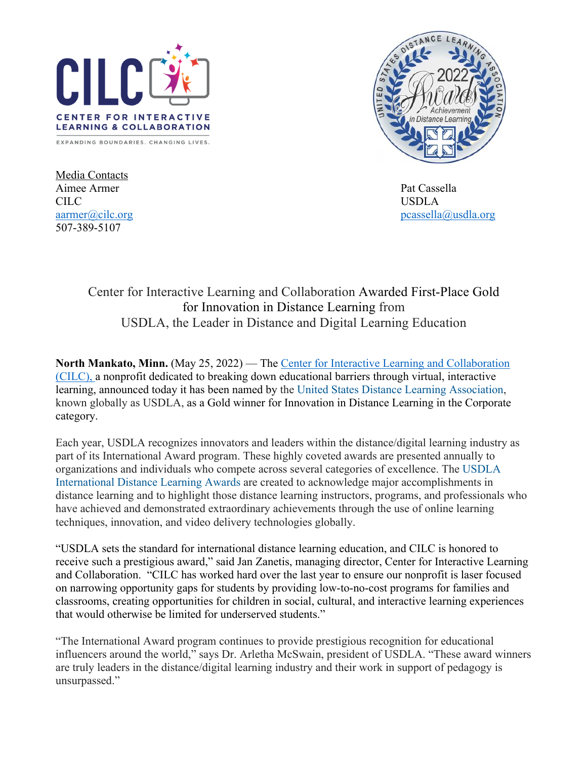

aarmer@cilc.org processella@usdla.org processella@usdla.org

## Media Contacts Aimee Armer Pat Cassella CILC USDLA 507-389-5107

## Center for Interactive Learning and Collaboration Awarded First‐Place Gold for Innovation in Distance Learning from USDLA, the Leader in Distance and Digital Learning Education

North Mankato, Minn. (May 25, 2022) — The Center for Interactive Learning and Collaboration (CILC), a nonprofit dedicated to breaking down educational barriers through virtual, interactive learning, announced today it has been named by the United States Distance Learning Association, known globally as USDLA, as a Gold winner for Innovation in Distance Learning in the Corporate category.

Each year, USDLA recognizes innovators and leaders within the distance/digital learning industry as part of its International Award program. These highly coveted awards are presented annually to organizations and individuals who compete across several categories of excellence. The USDLA International Distance Learning Awards are created to acknowledge major accomplishments in distance learning and to highlight those distance learning instructors, programs, and professionals who have achieved and demonstrated extraordinary achievements through the use of online learning techniques, innovation, and video delivery technologies globally.

"USDLA sets the standard for international distance learning education, and CILC is honored to receive such a prestigious award," said Jan Zanetis, managing director, Center for Interactive Learning and Collaboration. "CILC has worked hard over the last year to ensure our nonprofit is laser focused on narrowing opportunity gaps for students by providing low-to-no-cost programs for families and classrooms, creating opportunities for children in social, cultural, and interactive learning experiences that would otherwise be limited for underserved students."

"The International Award program continues to provide prestigious recognition for educational influencers around the world," says Dr. Arletha McSwain, president of USDLA. "These award winners are truly leaders in the distance/digital learning industry and their work in support of pedagogy is unsurpassed."